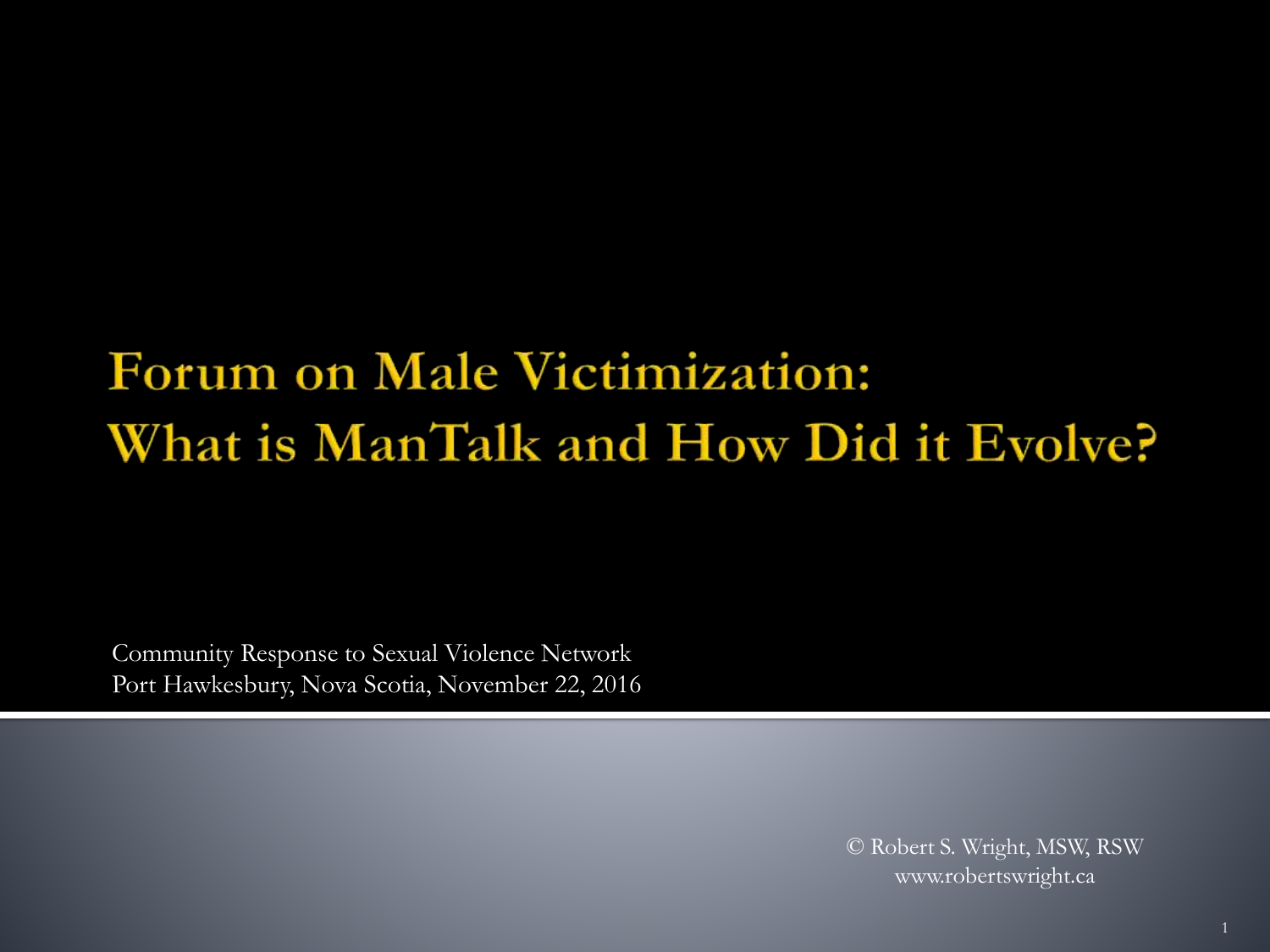### Forum on Male Victimization: What is ManTalk and How Did it Evolve?

Community Response to Sexual Violence Network Port Hawkesbury, Nova Scotia, November 22, 2016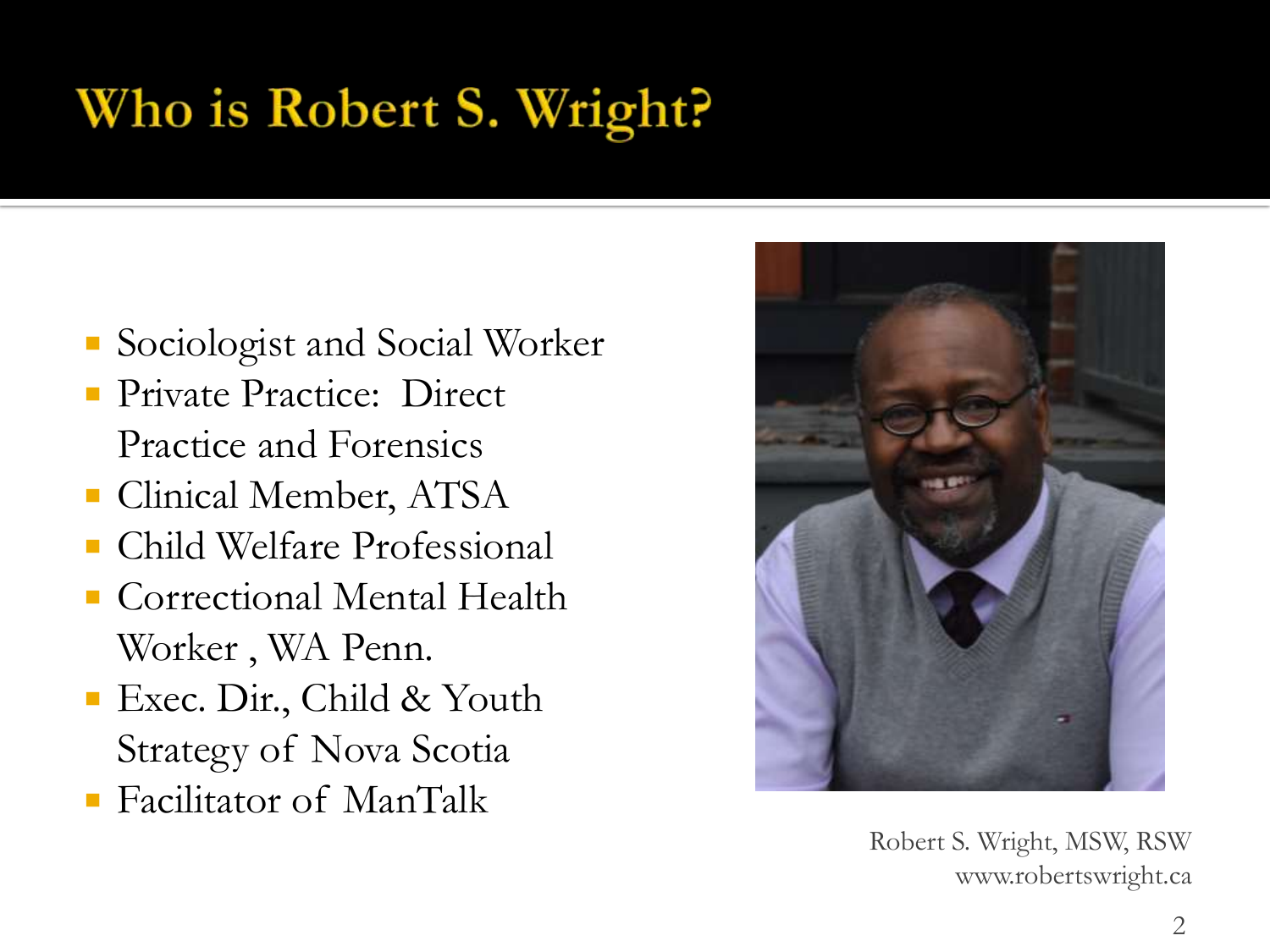## Who is Robert S. Wright?

- Sociologist and Social Worker
- Private Practice: Direct Practice and Forensics
- Clinical Member, ATSA
- Child Welfare Professional
- Correctional Mental Health Worker , WA Penn.
- **Exec. Dir., Child & Youth** Strategy of Nova Scotia
- Facilitator of ManTalk



Robert S. Wright, MSW, RSW www.robertswright.ca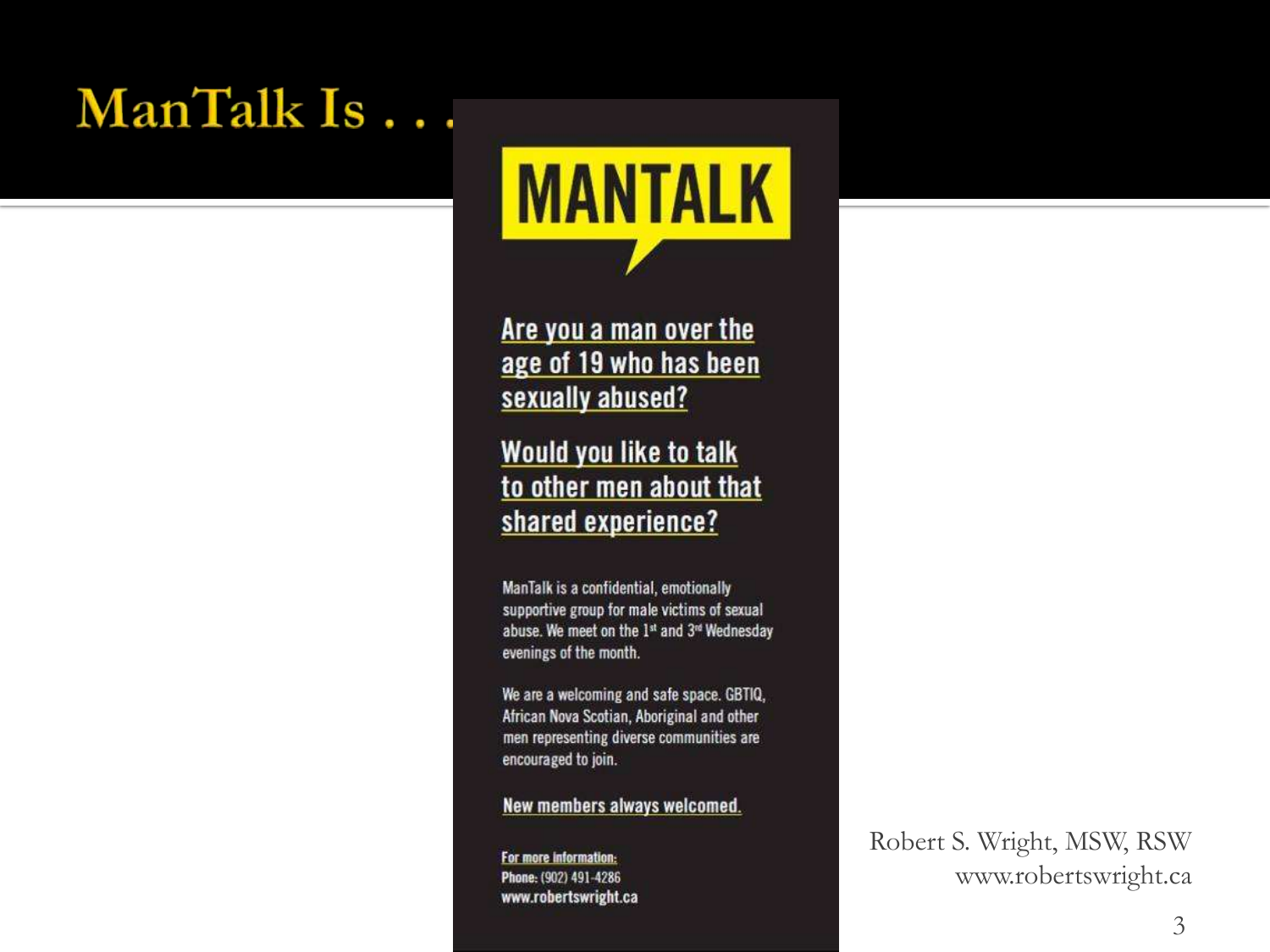#### ManTalk Is...



Are you a man over the age of 19 who has been sexually abused?

**Would you like to talk** to other men about that shared experience?

ManTalk is a confidential, emotionally supportive group for male victims of sexual abuse. We meet on the 1st and 3<sup>rd</sup> Wednesday evenings of the month.

We are a welcoming and safe space. GBTIQ, African Nova Scotian, Aboriginal and other men representing diverse communities are encouraged to join.

New members always welcomed.

For more information: Phone: (902) 491-4286 www.robertswright.ca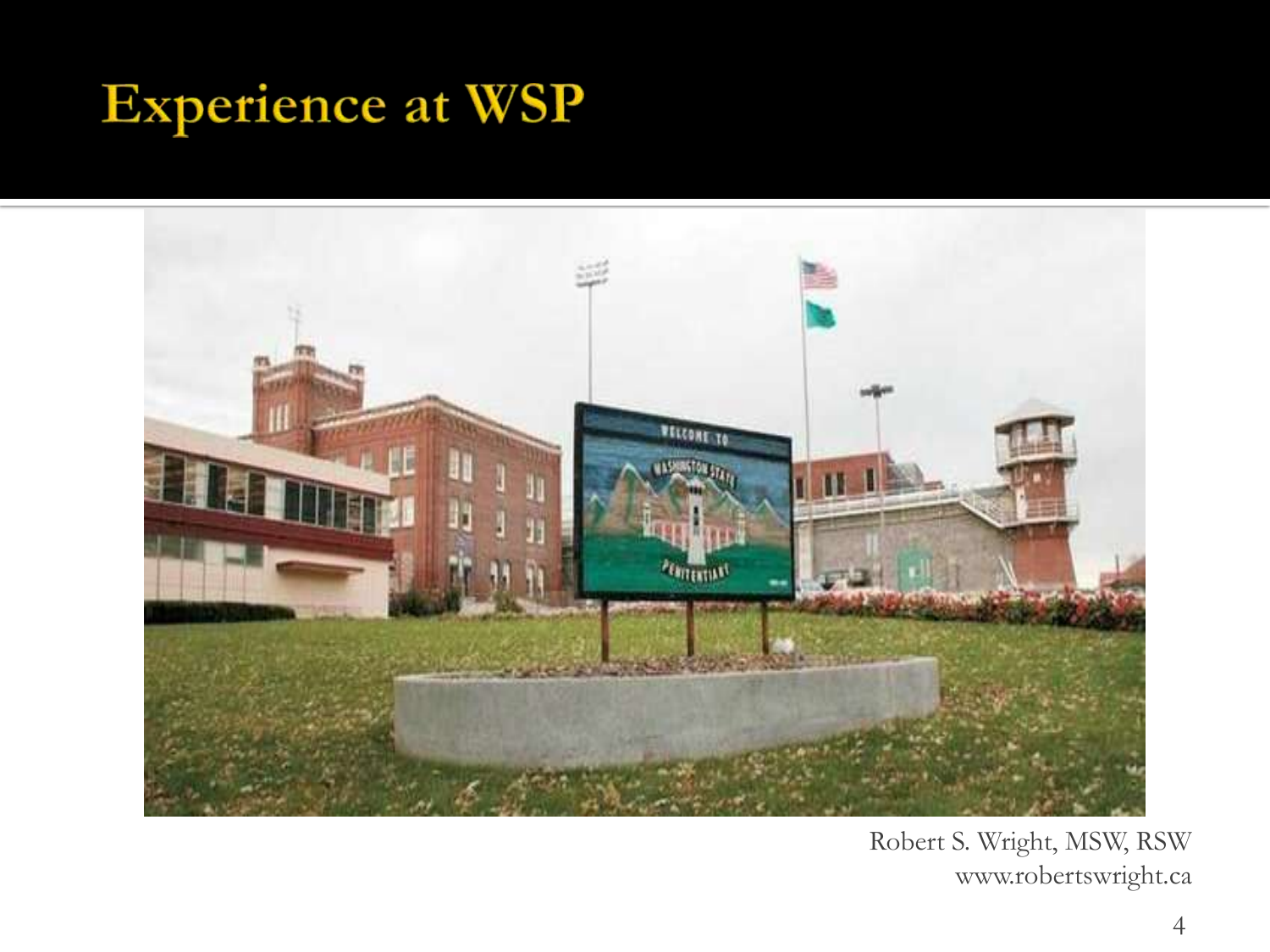#### **Experience at WSP**

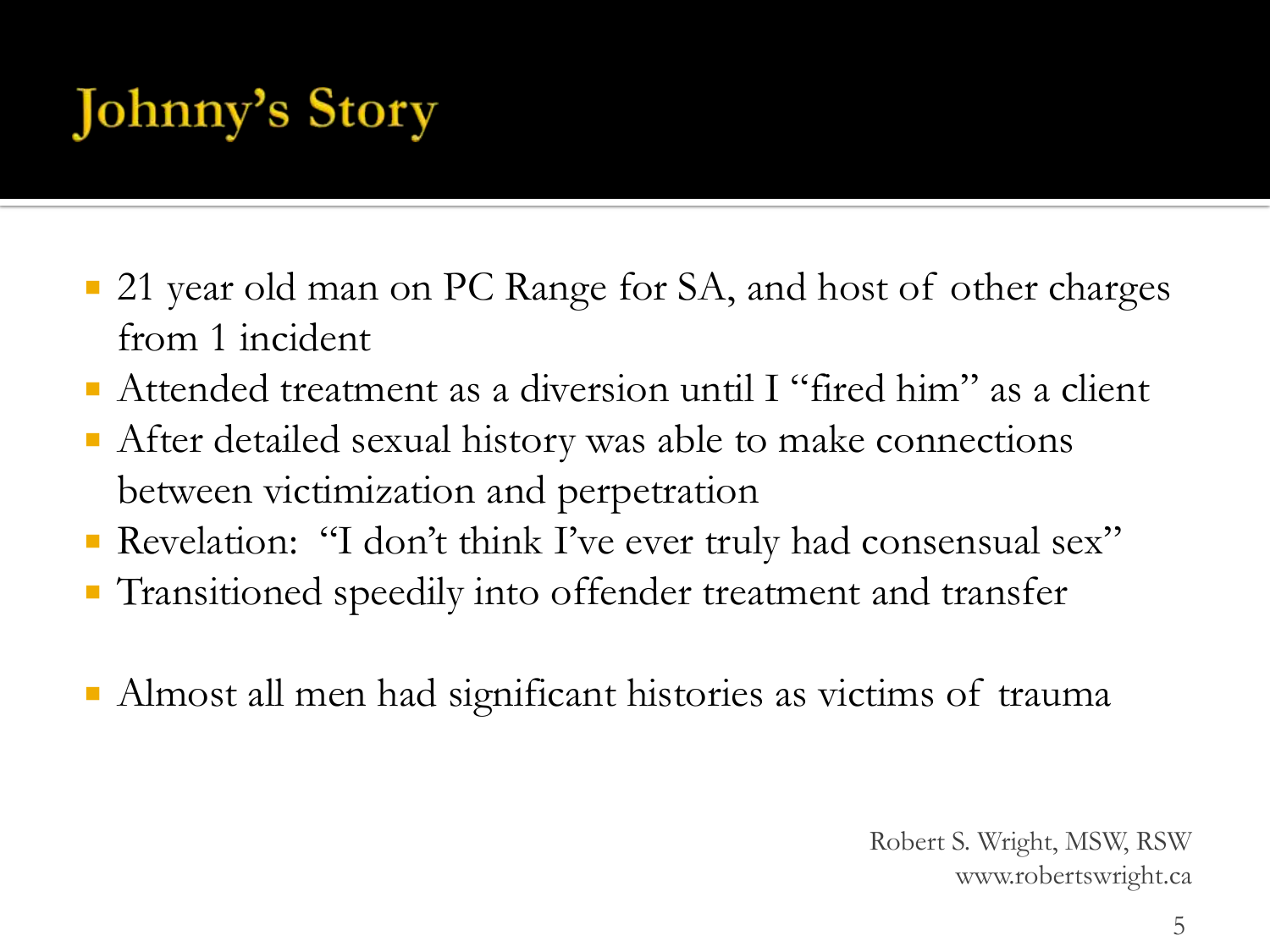# **Johnny's Story**

- 21 year old man on PC Range for SA, and host of other charges from 1 incident
- Attended treatment as a diversion until I "fired him" as a client
- After detailed sexual history was able to make connections between victimization and perpetration
- Revelation: "I don't think I've ever truly had consensual sex"
- **Transitioned speedily into offender treatment and transfer**
- Almost all men had significant histories as victims of trauma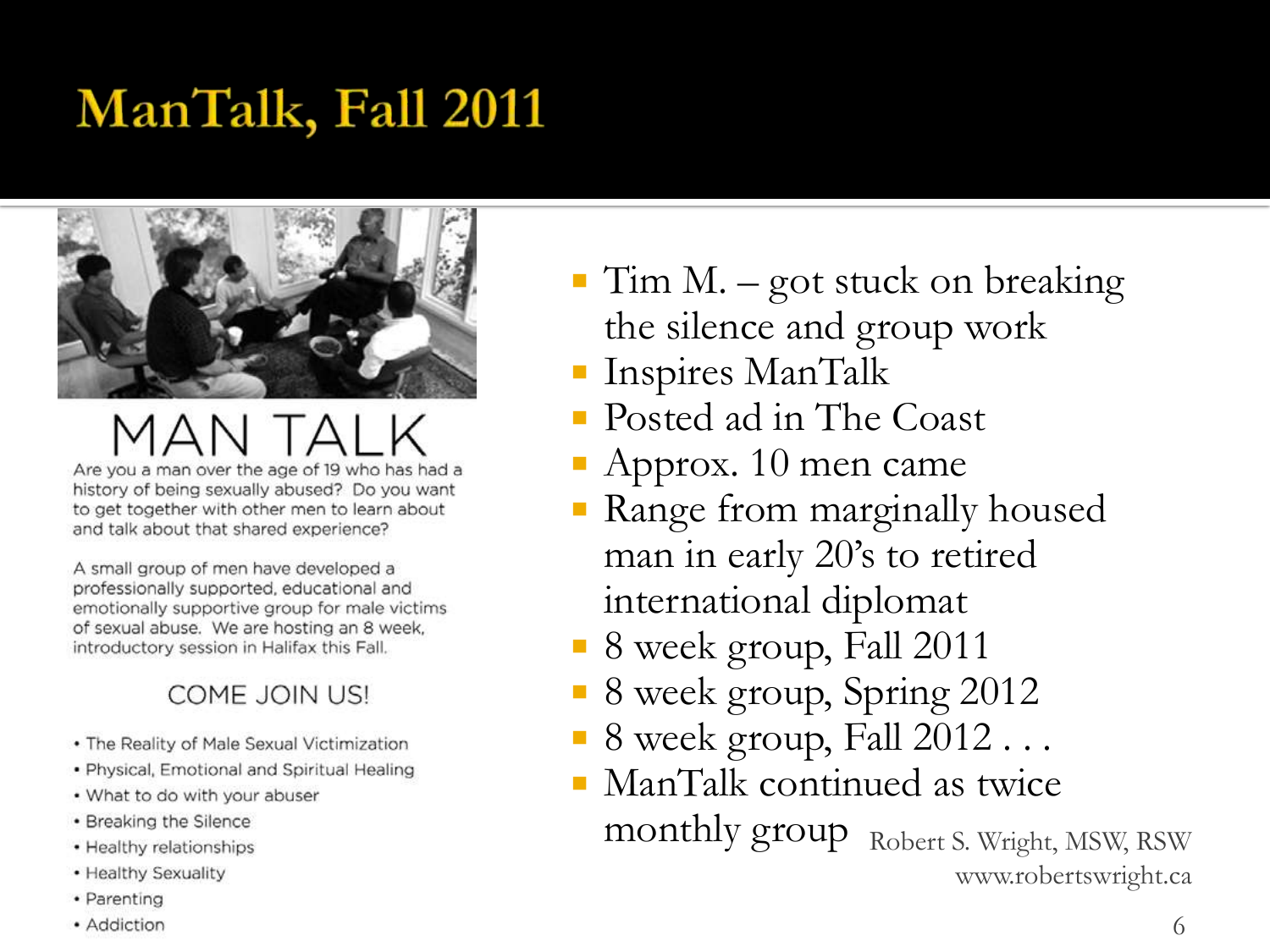### ManTalk, Fall 2011



# Are you a man over the age of 19 who has had a

history of being sexually abused? Do you want to get together with other men to learn about and talk about that shared experience?

A small group of men have developed a professionally supported, educational and emotionally supportive group for male victims of sexual abuse. We are hosting an 8 week. introductory session in Halifax this Fall.

#### **COME JOIN US!**

- The Reality of Male Sexual Victimization
- · Physical, Emotional and Spiritual Healing
- . What to do with your abuser
- Breaking the Silence
- Healthy relationships
- Healthy Sexuality
- Parenting
- Addiction
- $\blacksquare$  Tim M. got stuck on breaking the silence and group work
- Inspires ManTalk
- Posted ad in The Coast
- Approx. 10 men came
- Range from marginally housed man in early 20's to retired international diplomat
- **8** week group, Fall 2011
- 8 week group, Spring 2012
- 8 week group, Fall 2012...
- ManTalk continued as twice monthly group Robert S. Wright, MSW, RSW www.robertswright.ca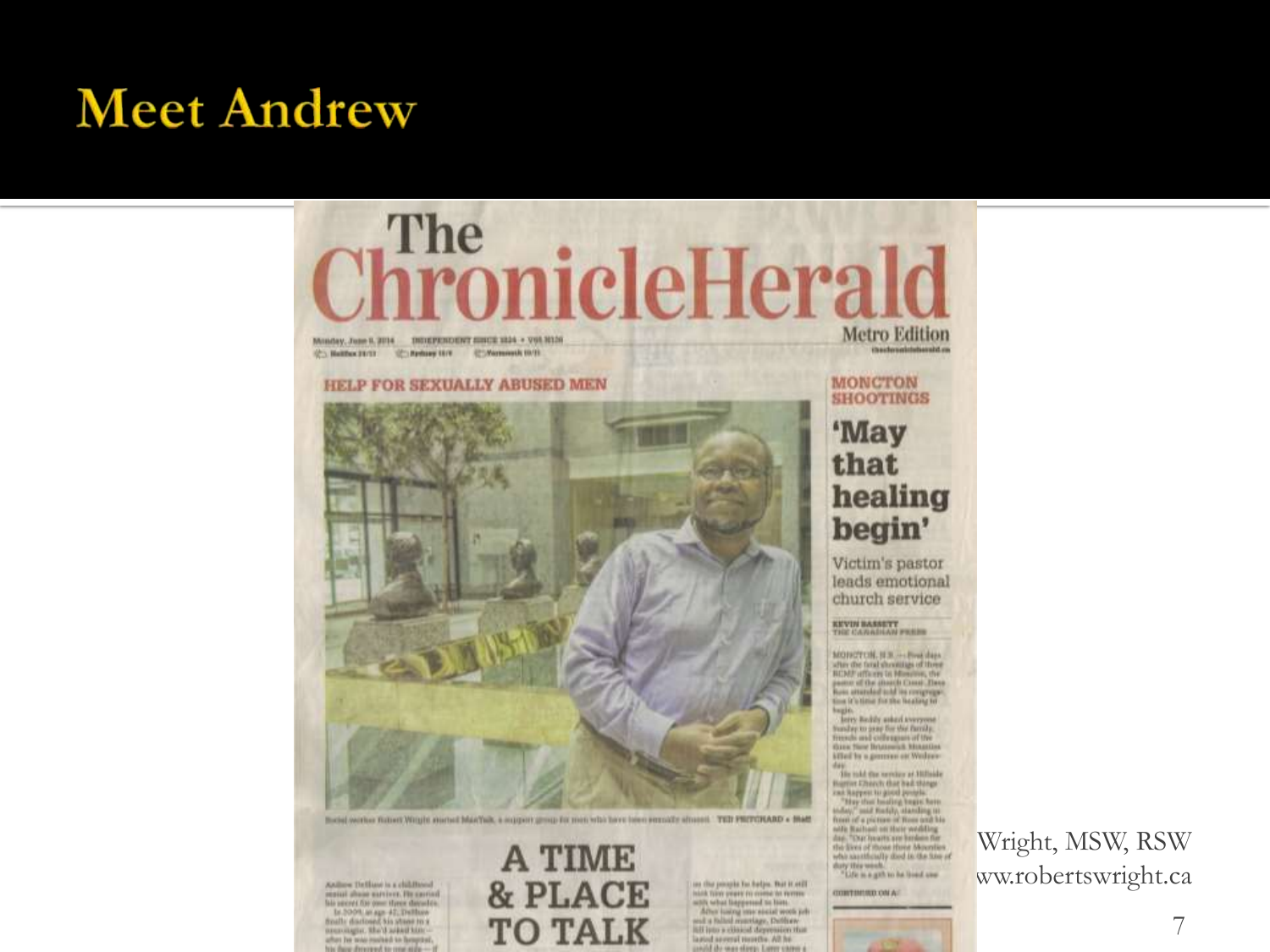#### **Meet Andrew**



Books worker fished Witght started Marthal, a support group for mon-who have been seconds almost. TEIT PRITGRARD + Matt

Anilow Dellaw is a childhood restat share eartives. He carted late success for one styres days de-Is 2009 at ap 47, Delluw menonger, the'd asked himafter he was restad to hoursel. the flatter distances of the career at the

**A TIME** & PLACE on the poople for belps. But it still **TO TALK** 

Indob, typer proper excepts the everyon. sony what linggereed to live. After lusing macricial work jets seal a falled reservinge, Deblyevlift ipto a clinical depression that lazied several months. All he paid the man sleep. Lawr cares

Wright, MSW, RSW ww.robertswright.ca

7

healing

Victim's pastor leads emotional church service

MONOTCH, H.R. .- Post days after the final shootings of three **BCMF** officers in Mondon, the pastor of the storch Court Three tion it's time for the bealing to

Sunday to pray for the family.<br>Sunda and colleagues of the<br>time fine Brunned, Manatina killed by a generator at Wednes-

Higgive Cherch that had things-"Hay that booking begin here<br>and the "mail finds), standing in<br>from of a picture of Rose and his<br>sole Rathan on their wedding day, "Dur hearts are benken for the lives of those Hone Mounties who sauthcally dood in the time of duty this week.<br>"Life is a girl to be lood one

CONTINUES ON AC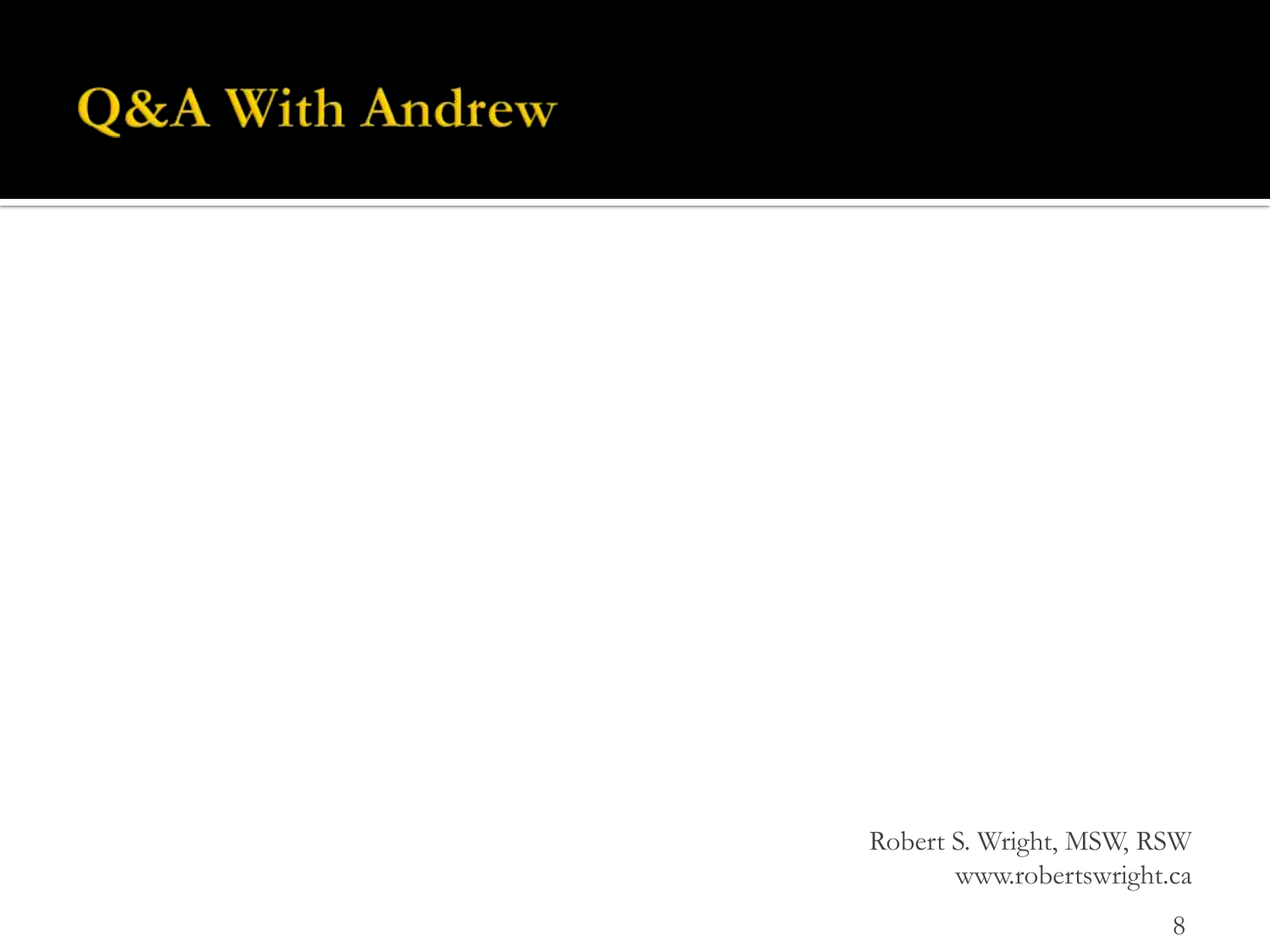